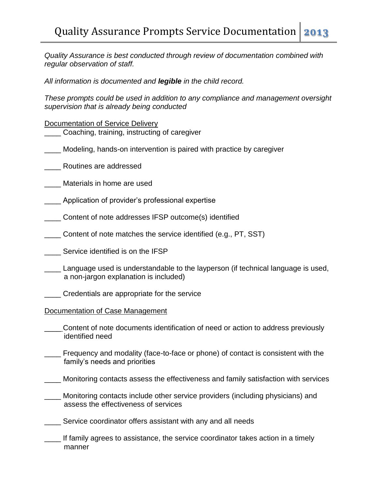*Quality Assurance is best conducted through review of documentation combined with regular observation of staff.* 

*All information is documented and legible in the child record.* 

*These prompts could be used in addition to any compliance and management oversight supervision that is already being conducted*

## Documentation of Service Delivery

- Coaching, training, instructing of caregiver
- \_\_\_\_ Modeling, hands-on intervention is paired with practice by caregiver
- \_\_\_\_ Routines are addressed
- \_\_\_\_ Materials in home are used
- Application of provider's professional expertise
- \_\_\_\_ Content of note addresses IFSP outcome(s) identified
- \_\_\_\_ Content of note matches the service identified (e.g., PT, SST)
	- \_\_\_\_ Service identified is on the IFSP
- Language used is understandable to the layperson (if technical language is used, a non-jargon explanation is included)
- \_\_\_\_ Credentials are appropriate for the service
- Documentation of Case Management
- Content of note documents identification of need or action to address previously identified need
- Frequency and modality (face-to-face or phone) of contact is consistent with the family's needs and priorities
- \_\_\_\_ Monitoring contacts assess the effectiveness and family satisfaction with services
- Monitoring contacts include other service providers (including physicians) and assess the effectiveness of services
- Service coordinator offers assistant with any and all needs
- If family agrees to assistance, the service coordinator takes action in a timely manner